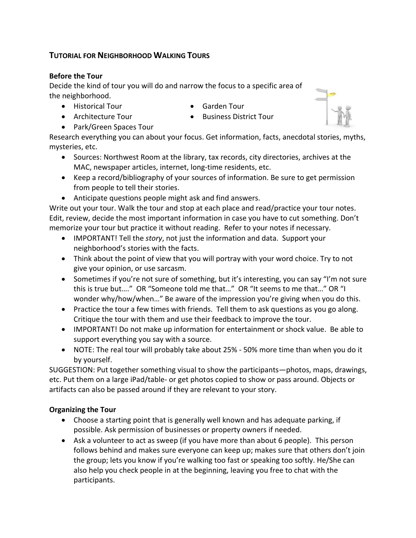# **TUTORIAL FOR NEIGHBORHOOD WALKING TOURS**

## **Before the Tour**

Decide the kind of tour you will do and narrow the focus to a specific area of the neighborhood.

- Historical Tour
- Architecture Tour
- Garden Tour • Business District Tour



• Park/Green Spaces Tour

Research everything you can about your focus. Get information, facts, anecdotal stories, myths, mysteries, etc.

- Sources: Northwest Room at the library, tax records, city directories, archives at the MAC, newspaper articles, internet, long-time residents, etc.
- Keep a record/bibliography of your sources of information. Be sure to get permission from people to tell their stories.
- Anticipate questions people might ask and find answers.

Write out your tour. Walk the tour and stop at each place and read/practice your tour notes. Edit, review, decide the most important information in case you have to cut something. Don't memorize your tour but practice it without reading. Refer to your notes if necessary.

- IMPORTANT! Tell the *story*, not just the information and data. Support your neighborhood's stories with the facts.
- Think about the point of view that you will portray with your word choice. Try to not give your opinion, or use sarcasm.
- Sometimes if you're not sure of something, but it's interesting, you can say "I'm not sure this is true but…." OR "Someone told me that…" OR "It seems to me that…" OR "I wonder why/how/when..." Be aware of the impression you're giving when you do this.
- Practice the tour a few times with friends. Tell them to ask questions as you go along. Critique the tour with them and use their feedback to improve the tour.
- IMPORTANT! Do not make up information for entertainment or shock value. Be able to support everything you say with a source.
- NOTE: The real tour will probably take about 25% 50% more time than when you do it by yourself.

SUGGESTION: Put together something visual to show the participants—photos, maps, drawings, etc. Put them on a large iPad/table- or get photos copied to show or pass around. Objects or artifacts can also be passed around if they are relevant to your story.

## **Organizing the Tour**

- Choose a starting point that is generally well known and has adequate parking, if possible. Ask permission of businesses or property owners if needed.
- Ask a volunteer to act as sweep (if you have more than about 6 people). This person follows behind and makes sure everyone can keep up; makes sure that others don't join the group; lets you know if you're walking too fast or speaking too softly. He/She can also help you check people in at the beginning, leaving you free to chat with the participants.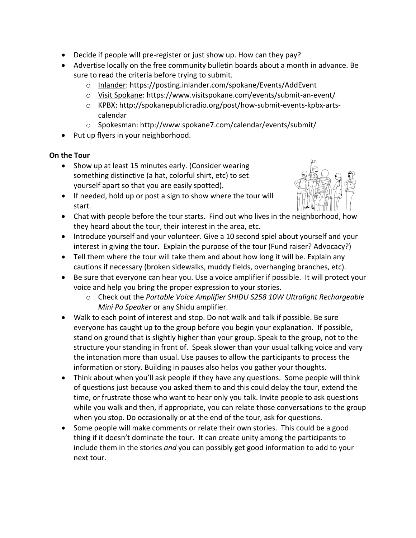- Decide if people will pre-register or just show up. How can they pay?
- Advertise locally on the free community bulletin boards about a month in advance. Be sure to read the criteria before trying to submit.
	- o Inlander: https://posting.inlander.com/spokane/Events/AddEvent
	- o Visit Spokane: https://www.visitspokane.com/events/submit-an-event/
	- o KPBX: http://spokanepublicradio.org/post/how-submit-events-kpbx-artscalendar
	- o Spokesman: http://www.spokane7.com/calendar/events/submit/
- Put up flyers in your neighborhood.

## **On the Tour**

- Show up at least 15 minutes early. (Consider wearing something distinctive (a hat, colorful shirt, etc) to set yourself apart so that you are easily spotted).
- 
- If needed, hold up or post a sign to show where the tour will start.
- Chat with people before the tour starts. Find out who lives in the neighborhood, how they heard about the tour, their interest in the area, etc.
- Introduce yourself and your volunteer. Give a 10 second spiel about yourself and your interest in giving the tour. Explain the purpose of the tour (Fund raiser? Advocacy?)
- Tell them where the tour will take them and about how long it will be. Explain any cautions if necessary (broken sidewalks, muddy fields, overhanging branches, etc).
- Be sure that everyone can hear you. Use a voice amplifier if possible. It will protect your voice and help you bring the proper expression to your stories.
	- o Check out the *Portable Voice Amplifier SHIDU S258 10W Ultralight Rechargeable Mini Pa Speaker* or any Shidu amplifier.
- Walk to each point of interest and stop. Do not walk and talk if possible. Be sure everyone has caught up to the group before you begin your explanation. If possible, stand on ground that is slightly higher than your group. Speak to the group, not to the structure your standing in front of. Speak slower than your usual talking voice and vary the intonation more than usual. Use pauses to allow the participants to process the information or story. Building in pauses also helps you gather your thoughts.
- Think about when you'll ask people if they have any questions. Some people will think of questions just because you asked them to and this could delay the tour, extend the time, or frustrate those who want to hear only you talk. Invite people to ask questions while you walk and then, if appropriate, you can relate those conversations to the group when you stop. Do occasionally or at the end of the tour, ask for questions.
- Some people will make comments or relate their own stories. This could be a good thing if it doesn't dominate the tour. It can create unity among the participants to include them in the stories *and* you can possibly get good information to add to your next tour.